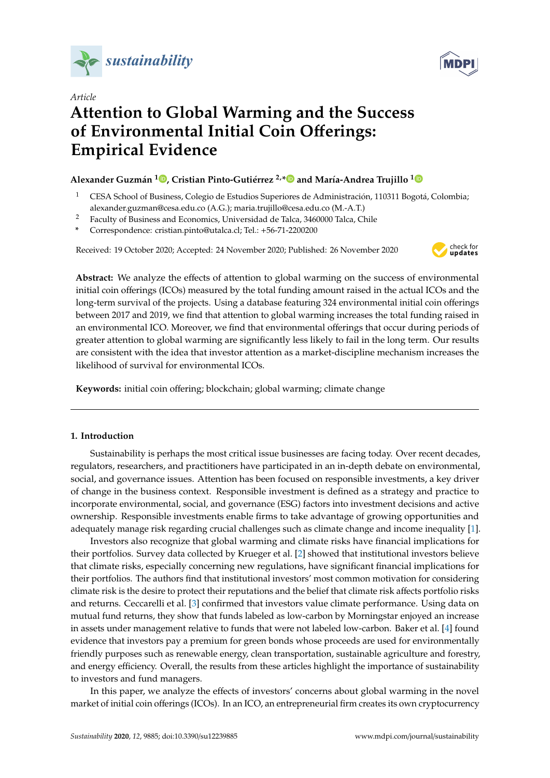



# *Article* **Attention to Global Warming and the Success of Environmental Initial Coin O**ff**erings: Empirical Evidence**

# **Alexander Guzmán 1 [,](https://orcid.org/0000-0001-7675-048X) Cristian Pinto-Gutiérrez 2,[\\*](https://orcid.org/0000-0002-7981-4968) and María-Andrea Trujillo [1](https://orcid.org/0000-0002-9592-7890)**

- <sup>1</sup> CESA School of Business, Colegio de Estudios Superiores de Administración, 110311 Bogotá, Colombia; alexander.guzman@cesa.edu.co (A.G.); maria.trujillo@cesa.edu.co (M.-A.T.)
- <sup>2</sup> Faculty of Business and Economics, Universidad de Talca, 3460000 Talca, Chile
- **\*** Correspondence: cristian.pinto@utalca.cl; Tel.: +56-71-2200200

Received: 19 October 2020; Accepted: 24 November 2020; Published: 26 November 2020



**Abstract:** We analyze the effects of attention to global warming on the success of environmental initial coin offerings (ICOs) measured by the total funding amount raised in the actual ICOs and the long-term survival of the projects. Using a database featuring 324 environmental initial coin offerings between 2017 and 2019, we find that attention to global warming increases the total funding raised in an environmental ICO. Moreover, we find that environmental offerings that occur during periods of greater attention to global warming are significantly less likely to fail in the long term. Our results are consistent with the idea that investor attention as a market-discipline mechanism increases the likelihood of survival for environmental ICOs.

**Keywords:** initial coin offering; blockchain; global warming; climate change

## **1. Introduction**

Sustainability is perhaps the most critical issue businesses are facing today. Over recent decades, regulators, researchers, and practitioners have participated in an in-depth debate on environmental, social, and governance issues. Attention has been focused on responsible investments, a key driver of change in the business context. Responsible investment is defined as a strategy and practice to incorporate environmental, social, and governance (ESG) factors into investment decisions and active ownership. Responsible investments enable firms to take advantage of growing opportunities and adequately manage risk regarding crucial challenges such as climate change and income inequality [\[1\]](#page-13-0).

Investors also recognize that global warming and climate risks have financial implications for their portfolios. Survey data collected by Krueger et al. [\[2\]](#page-13-1) showed that institutional investors believe that climate risks, especially concerning new regulations, have significant financial implications for their portfolios. The authors find that institutional investors' most common motivation for considering climate risk is the desire to protect their reputations and the belief that climate risk affects portfolio risks and returns. Ceccarelli et al. [\[3\]](#page-13-2) confirmed that investors value climate performance. Using data on mutual fund returns, they show that funds labeled as low-carbon by Morningstar enjoyed an increase in assets under management relative to funds that were not labeled low-carbon. Baker et al. [\[4\]](#page-13-3) found evidence that investors pay a premium for green bonds whose proceeds are used for environmentally friendly purposes such as renewable energy, clean transportation, sustainable agriculture and forestry, and energy efficiency. Overall, the results from these articles highlight the importance of sustainability to investors and fund managers.

In this paper, we analyze the effects of investors' concerns about global warming in the novel market of initial coin offerings (ICOs). In an ICO, an entrepreneurial firm creates its own cryptocurrency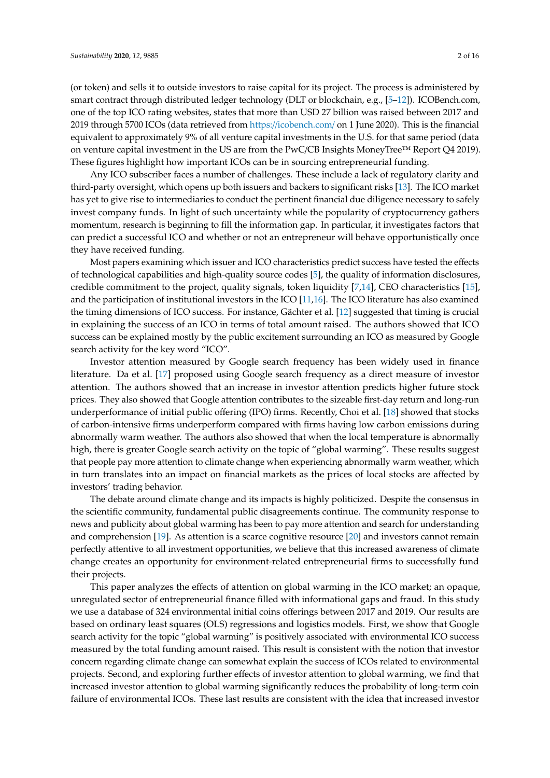(or token) and sells it to outside investors to raise capital for its project. The process is administered by smart contract through distributed ledger technology (DLT or blockchain, e.g., [\[5](#page-13-4)[–12\]](#page-13-5)). ICOBench.com, one of the top ICO rating websites, states that more than USD 27 billion was raised between 2017 and 2019 through 5700 ICOs (data retrieved from https://[icobench.com](https://icobench.com/)/ on 1 June 2020). This is the financial equivalent to approximately 9% of all venture capital investments in the U.S. for that same period (data on venture capital investment in the US are from the PwC/CB Insights MoneyTree™ Report Q4 2019). These figures highlight how important ICOs can be in sourcing entrepreneurial funding.

Any ICO subscriber faces a number of challenges. These include a lack of regulatory clarity and third-party oversight, which opens up both issuers and backers to significant risks [\[13\]](#page-13-6). The ICO market has yet to give rise to intermediaries to conduct the pertinent financial due diligence necessary to safely invest company funds. In light of such uncertainty while the popularity of cryptocurrency gathers momentum, research is beginning to fill the information gap. In particular, it investigates factors that can predict a successful ICO and whether or not an entrepreneur will behave opportunistically once they have received funding.

Most papers examining which issuer and ICO characteristics predict success have tested the effects of technological capabilities and high-quality source codes [\[5\]](#page-13-4), the quality of information disclosures, credible commitment to the project, quality signals, token liquidity [\[7](#page-13-7)[,14\]](#page-13-8), CEO characteristics [\[15\]](#page-14-0), and the participation of institutional investors in the ICO [\[11,](#page-13-9)[16\]](#page-14-1). The ICO literature has also examined the timing dimensions of ICO success. For instance, Gächter et al. [\[12\]](#page-13-5) suggested that timing is crucial in explaining the success of an ICO in terms of total amount raised. The authors showed that ICO success can be explained mostly by the public excitement surrounding an ICO as measured by Google search activity for the key word "ICO".

Investor attention measured by Google search frequency has been widely used in finance literature. Da et al. [\[17\]](#page-14-2) proposed using Google search frequency as a direct measure of investor attention. The authors showed that an increase in investor attention predicts higher future stock prices. They also showed that Google attention contributes to the sizeable first-day return and long-run underperformance of initial public offering (IPO) firms. Recently, Choi et al. [\[18\]](#page-14-3) showed that stocks of carbon-intensive firms underperform compared with firms having low carbon emissions during abnormally warm weather. The authors also showed that when the local temperature is abnormally high, there is greater Google search activity on the topic of "global warming". These results suggest that people pay more attention to climate change when experiencing abnormally warm weather, which in turn translates into an impact on financial markets as the prices of local stocks are affected by investors' trading behavior.

The debate around climate change and its impacts is highly politicized. Despite the consensus in the scientific community, fundamental public disagreements continue. The community response to news and publicity about global warming has been to pay more attention and search for understanding and comprehension [\[19\]](#page-14-4). As attention is a scarce cognitive resource [\[20\]](#page-14-5) and investors cannot remain perfectly attentive to all investment opportunities, we believe that this increased awareness of climate change creates an opportunity for environment-related entrepreneurial firms to successfully fund their projects.

This paper analyzes the effects of attention on global warming in the ICO market; an opaque, unregulated sector of entrepreneurial finance filled with informational gaps and fraud. In this study we use a database of 324 environmental initial coins offerings between 2017 and 2019. Our results are based on ordinary least squares (OLS) regressions and logistics models. First, we show that Google search activity for the topic "global warming" is positively associated with environmental ICO success measured by the total funding amount raised. This result is consistent with the notion that investor concern regarding climate change can somewhat explain the success of ICOs related to environmental projects. Second, and exploring further effects of investor attention to global warming, we find that increased investor attention to global warming significantly reduces the probability of long-term coin failure of environmental ICOs. These last results are consistent with the idea that increased investor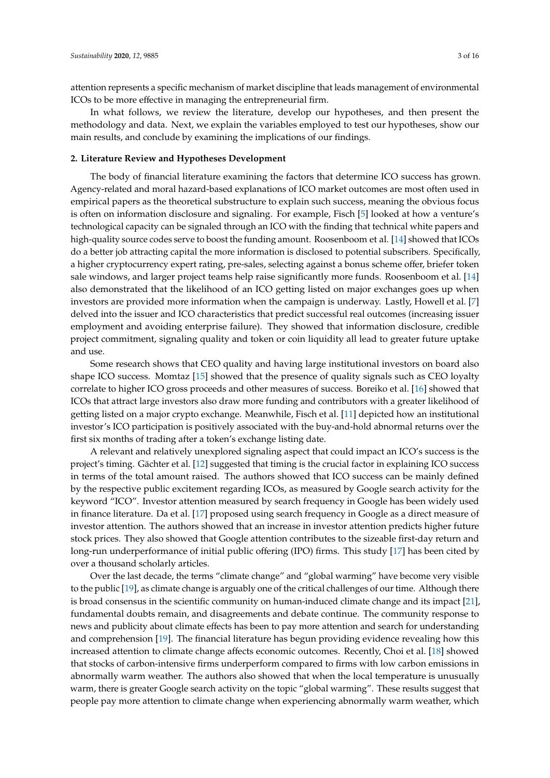attention represents a specific mechanism of market discipline that leads management of environmental ICOs to be more effective in managing the entrepreneurial firm.

In what follows, we review the literature, develop our hypotheses, and then present the methodology and data. Next, we explain the variables employed to test our hypotheses, show our main results, and conclude by examining the implications of our findings.

#### **2. Literature Review and Hypotheses Development**

The body of financial literature examining the factors that determine ICO success has grown. Agency-related and moral hazard-based explanations of ICO market outcomes are most often used in empirical papers as the theoretical substructure to explain such success, meaning the obvious focus is often on information disclosure and signaling. For example, Fisch [\[5\]](#page-13-4) looked at how a venture's technological capacity can be signaled through an ICO with the finding that technical white papers and high-quality source codes serve to boost the funding amount. Roosenboom et al. [\[14\]](#page-13-8) showed that ICOs do a better job attracting capital the more information is disclosed to potential subscribers. Specifically, a higher cryptocurrency expert rating, pre-sales, selecting against a bonus scheme offer, briefer token sale windows, and larger project teams help raise significantly more funds. Roosenboom et al. [\[14\]](#page-13-8) also demonstrated that the likelihood of an ICO getting listed on major exchanges goes up when investors are provided more information when the campaign is underway. Lastly, Howell et al. [\[7\]](#page-13-7) delved into the issuer and ICO characteristics that predict successful real outcomes (increasing issuer employment and avoiding enterprise failure). They showed that information disclosure, credible project commitment, signaling quality and token or coin liquidity all lead to greater future uptake and use.

Some research shows that CEO quality and having large institutional investors on board also shape ICO success. Momtaz [\[15\]](#page-14-0) showed that the presence of quality signals such as CEO loyalty correlate to higher ICO gross proceeds and other measures of success. Boreiko et al. [\[16\]](#page-14-1) showed that ICOs that attract large investors also draw more funding and contributors with a greater likelihood of getting listed on a major crypto exchange. Meanwhile, Fisch et al. [\[11\]](#page-13-9) depicted how an institutional investor's ICO participation is positively associated with the buy-and-hold abnormal returns over the first six months of trading after a token's exchange listing date.

A relevant and relatively unexplored signaling aspect that could impact an ICO's success is the project's timing. Gächter et al. [\[12\]](#page-13-5) suggested that timing is the crucial factor in explaining ICO success in terms of the total amount raised. The authors showed that ICO success can be mainly defined by the respective public excitement regarding ICOs, as measured by Google search activity for the keyword "ICO". Investor attention measured by search frequency in Google has been widely used in finance literature. Da et al. [\[17\]](#page-14-2) proposed using search frequency in Google as a direct measure of investor attention. The authors showed that an increase in investor attention predicts higher future stock prices. They also showed that Google attention contributes to the sizeable first-day return and long-run underperformance of initial public offering (IPO) firms. This study [\[17\]](#page-14-2) has been cited by over a thousand scholarly articles.

Over the last decade, the terms "climate change" and "global warming" have become very visible to the public [\[19\]](#page-14-4), as climate change is arguably one of the critical challenges of our time. Although there is broad consensus in the scientific community on human-induced climate change and its impact [\[21\]](#page-14-6), fundamental doubts remain, and disagreements and debate continue. The community response to news and publicity about climate effects has been to pay more attention and search for understanding and comprehension [\[19\]](#page-14-4). The financial literature has begun providing evidence revealing how this increased attention to climate change affects economic outcomes. Recently, Choi et al. [\[18\]](#page-14-3) showed that stocks of carbon-intensive firms underperform compared to firms with low carbon emissions in abnormally warm weather. The authors also showed that when the local temperature is unusually warm, there is greater Google search activity on the topic "global warming". These results suggest that people pay more attention to climate change when experiencing abnormally warm weather, which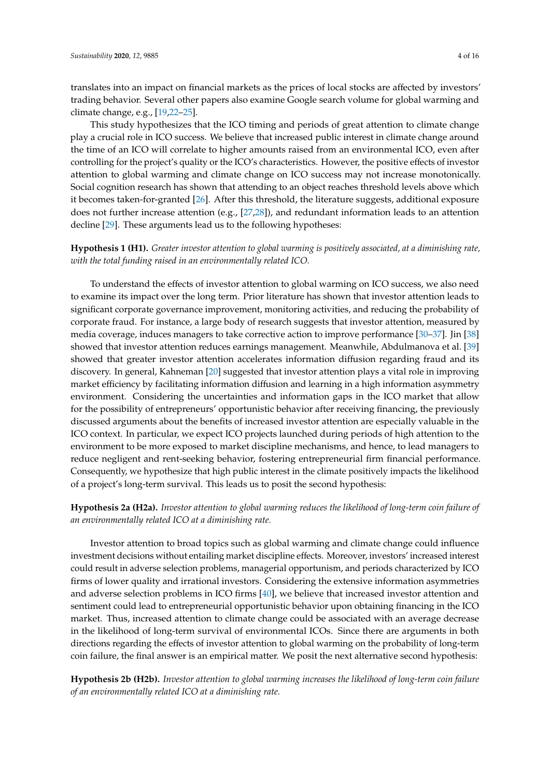translates into an impact on financial markets as the prices of local stocks are affected by investors' trading behavior. Several other papers also examine Google search volume for global warming and climate change, e.g., [\[19](#page-14-4)[,22](#page-14-7)[–25\]](#page-14-8).

This study hypothesizes that the ICO timing and periods of great attention to climate change play a crucial role in ICO success. We believe that increased public interest in climate change around the time of an ICO will correlate to higher amounts raised from an environmental ICO, even after controlling for the project's quality or the ICO's characteristics. However, the positive effects of investor attention to global warming and climate change on ICO success may not increase monotonically. Social cognition research has shown that attending to an object reaches threshold levels above which it becomes taken-for-granted [\[26\]](#page-14-9). After this threshold, the literature suggests, additional exposure does not further increase attention (e.g., [\[27,](#page-14-10)[28\]](#page-14-11)), and redundant information leads to an attention decline [\[29\]](#page-14-12). These arguments lead us to the following hypotheses:

# **Hypothesis 1 (H1).** *Greater investor attention to global warming is positively associated, at a diminishing rate, with the total funding raised in an environmentally related ICO.*

To understand the effects of investor attention to global warming on ICO success, we also need to examine its impact over the long term. Prior literature has shown that investor attention leads to significant corporate governance improvement, monitoring activities, and reducing the probability of corporate fraud. For instance, a large body of research suggests that investor attention, measured by media coverage, induces managers to take corrective action to improve performance [\[30](#page-14-13)[–37\]](#page-14-14). Jin [\[38\]](#page-14-15) showed that investor attention reduces earnings management. Meanwhile, Abdulmanova et al. [\[39\]](#page-14-16) showed that greater investor attention accelerates information diffusion regarding fraud and its discovery. In general, Kahneman [\[20\]](#page-14-5) suggested that investor attention plays a vital role in improving market efficiency by facilitating information diffusion and learning in a high information asymmetry environment. Considering the uncertainties and information gaps in the ICO market that allow for the possibility of entrepreneurs' opportunistic behavior after receiving financing, the previously discussed arguments about the benefits of increased investor attention are especially valuable in the ICO context. In particular, we expect ICO projects launched during periods of high attention to the environment to be more exposed to market discipline mechanisms, and hence, to lead managers to reduce negligent and rent-seeking behavior, fostering entrepreneurial firm financial performance. Consequently, we hypothesize that high public interest in the climate positively impacts the likelihood of a project's long-term survival. This leads us to posit the second hypothesis:

# **Hypothesis 2a (H2a).** *Investor attention to global warming reduces the likelihood of long-term coin failure of an environmentally related ICO at a diminishing rate.*

Investor attention to broad topics such as global warming and climate change could influence investment decisions without entailing market discipline effects. Moreover, investors' increased interest could result in adverse selection problems, managerial opportunism, and periods characterized by ICO firms of lower quality and irrational investors. Considering the extensive information asymmetries and adverse selection problems in ICO firms [\[40\]](#page-14-17), we believe that increased investor attention and sentiment could lead to entrepreneurial opportunistic behavior upon obtaining financing in the ICO market. Thus, increased attention to climate change could be associated with an average decrease in the likelihood of long-term survival of environmental ICOs. Since there are arguments in both directions regarding the effects of investor attention to global warming on the probability of long-term coin failure, the final answer is an empirical matter. We posit the next alternative second hypothesis:

**Hypothesis 2b (H2b).** *Investor attention to global warming increases the likelihood of long-term coin failure of an environmentally related ICO at a diminishing rate.*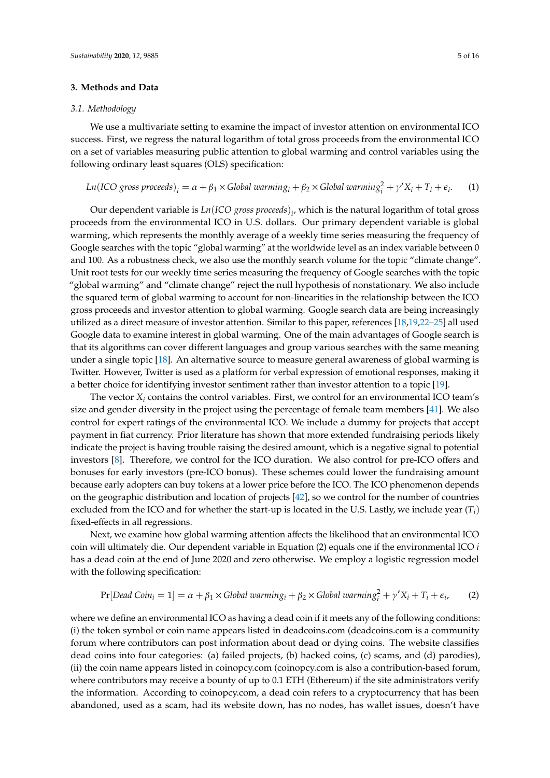#### **3. Methods and Data**

#### *3.1. Methodology*

We use a multivariate setting to examine the impact of investor attention on environmental ICO success. First, we regress the natural logarithm of total gross proceeds from the environmental ICO on a set of variables measuring public attention to global warming and control variables using the following ordinary least squares (OLS) specification:

Ln(ICO gross proceeds)<sub>i</sub> = 
$$
\alpha + \beta_1 \times
$$
 Global warming<sub>i</sub> +  $\beta_2 \times$  Global warming<sub>i</sub><sup>2</sup> +  $\gamma' X_i + T_i + \epsilon_i$ . (1)

Our dependent variable is *Ln*(*ICO gross proceeds*) *i* , which is the natural logarithm of total gross proceeds from the environmental ICO in U.S. dollars. Our primary dependent variable is global warming, which represents the monthly average of a weekly time series measuring the frequency of Google searches with the topic "global warming" at the worldwide level as an index variable between 0 and 100. As a robustness check, we also use the monthly search volume for the topic "climate change". Unit root tests for our weekly time series measuring the frequency of Google searches with the topic "global warming" and "climate change" reject the null hypothesis of nonstationary. We also include the squared term of global warming to account for non-linearities in the relationship between the ICO gross proceeds and investor attention to global warming. Google search data are being increasingly utilized as a direct measure of investor attention. Similar to this paper, references [\[18](#page-14-3)[,19](#page-14-4)[,22–](#page-14-7)[25\]](#page-14-8) all used Google data to examine interest in global warming. One of the main advantages of Google search is that its algorithms can cover different languages and group various searches with the same meaning under a single topic [\[18\]](#page-14-3). An alternative source to measure general awareness of global warming is Twitter. However, Twitter is used as a platform for verbal expression of emotional responses, making it a better choice for identifying investor sentiment rather than investor attention to a topic [\[19\]](#page-14-4).

The vector  $X_i$  contains the control variables. First, we control for an environmental ICO team's size and gender diversity in the project using the percentage of female team members [\[41\]](#page-14-18). We also control for expert ratings of the environmental ICO. We include a dummy for projects that accept payment in fiat currency. Prior literature has shown that more extended fundraising periods likely indicate the project is having trouble raising the desired amount, which is a negative signal to potential investors [\[8\]](#page-13-10). Therefore, we control for the ICO duration. We also control for pre-ICO offers and bonuses for early investors (pre-ICO bonus). These schemes could lower the fundraising amount because early adopters can buy tokens at a lower price before the ICO. The ICO phenomenon depends on the geographic distribution and location of projects [\[42\]](#page-14-19), so we control for the number of countries excluded from the ICO and for whether the start-up is located in the U.S. Lastly, we include year  $(T_i)$ fixed-effects in all regressions.

Next, we examine how global warming attention affects the likelihood that an environmental ICO coin will ultimately die. Our dependent variable in Equation (2) equals one if the environmental ICO *i* has a dead coin at the end of June 2020 and zero otherwise. We employ a logistic regression model with the following specification:

$$
Pr[Dead Coin_i = 1] = \alpha + \beta_1 \times Global\ warning_i + \beta_2 \times Global\ warning_i^2 + \gamma' X_i + T_i + \epsilon_i,
$$
 (2)

where we define an environmental ICO as having a dead coin if it meets any of the following conditions: (i) the token symbol or coin name appears listed in deadcoins.com (deadcoins.com is a community forum where contributors can post information about dead or dying coins. The website classifies dead coins into four categories: (a) failed projects, (b) hacked coins, (c) scams, and (d) parodies), (ii) the coin name appears listed in coinopcy.com (coinopcy.com is also a contribution-based forum, where contributors may receive a bounty of up to 0.1 ETH (Ethereum) if the site administrators verify the information. According to coinopcy.com, a dead coin refers to a cryptocurrency that has been abandoned, used as a scam, had its website down, has no nodes, has wallet issues, doesn't have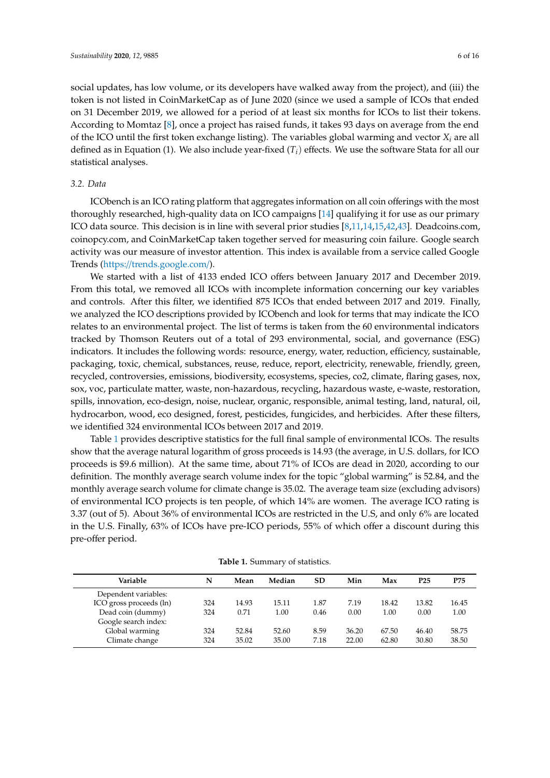social updates, has low volume, or its developers have walked away from the project), and (iii) the token is not listed in CoinMarketCap as of June 2020 (since we used a sample of ICOs that ended on 31 December 2019, we allowed for a period of at least six months for ICOs to list their tokens. According to Momtaz [\[8\]](#page-13-10), once a project has raised funds, it takes 93 days on average from the end of the ICO until the first token exchange listing). The variables global warming and vector  $X_i$  are all defined as in Equation (1). We also include year-fixed (*Ti*) effects. We use the software Stata for all our statistical analyses.

#### *3.2. Data*

ICObench is an ICO rating platform that aggregates information on all coin offerings with the most thoroughly researched, high-quality data on ICO campaigns [\[14\]](#page-13-8) qualifying it for use as our primary ICO data source. This decision is in line with several prior studies [\[8,](#page-13-10)[11,](#page-13-9)[14,](#page-13-8)[15,](#page-14-0)[42,](#page-14-19)[43\]](#page-14-20). Deadcoins.com, coinopcy.com, and CoinMarketCap taken together served for measuring coin failure. Google search activity was our measure of investor attention. This index is available from a service called Google Trends (https://[trends.google.com](https://trends.google.com/)/).

We started with a list of 4133 ended ICO offers between January 2017 and December 2019. From this total, we removed all ICOs with incomplete information concerning our key variables and controls. After this filter, we identified 875 ICOs that ended between 2017 and 2019. Finally, we analyzed the ICO descriptions provided by ICObench and look for terms that may indicate the ICO relates to an environmental project. The list of terms is taken from the 60 environmental indicators tracked by Thomson Reuters out of a total of 293 environmental, social, and governance (ESG) indicators. It includes the following words: resource, energy, water, reduction, efficiency, sustainable, packaging, toxic, chemical, substances, reuse, reduce, report, electricity, renewable, friendly, green, recycled, controversies, emissions, biodiversity, ecosystems, species, co2, climate, flaring gases, nox, sox, voc, particulate matter, waste, non-hazardous, recycling, hazardous waste, e-waste, restoration, spills, innovation, eco-design, noise, nuclear, organic, responsible, animal testing, land, natural, oil, hydrocarbon, wood, eco designed, forest, pesticides, fungicides, and herbicides. After these filters, we identified 324 environmental ICOs between 2017 and 2019.

Table [1](#page-5-0) provides descriptive statistics for the full final sample of environmental ICOs. The results show that the average natural logarithm of gross proceeds is 14.93 (the average, in U.S. dollars, for ICO proceeds is \$9.6 million). At the same time, about 71% of ICOs are dead in 2020, according to our definition. The monthly average search volume index for the topic "global warming" is 52.84, and the monthly average search volume for climate change is 35.02. The average team size (excluding advisors) of environmental ICO projects is ten people, of which 14% are women. The average ICO rating is 3.37 (out of 5). About 36% of environmental ICOs are restricted in the U.S, and only 6% are located in the U.S. Finally, 63% of ICOs have pre-ICO periods, 55% of which offer a discount during this pre-offer period.

<span id="page-5-0"></span>

| Variable                | N   | Mean  | Median | <b>SD</b> | Min   | Max   | P25   | P75   |
|-------------------------|-----|-------|--------|-----------|-------|-------|-------|-------|
| Dependent variables:    |     |       |        |           |       |       |       |       |
| ICO gross proceeds (ln) | 324 | 14.93 | 15.11  | 1.87      | 7.19  | 18.42 | 13.82 | 16.45 |
| Dead coin (dummy)       | 324 | 0.71  | 1.00   | 0.46      | 0.00  | 1.00  | 0.00  | 1.00  |
| Google search index:    |     |       |        |           |       |       |       |       |
| Global warming          | 324 | 52.84 | 52.60  | 8.59      | 36.20 | 67.50 | 46.40 | 58.75 |
| Climate change          | 324 | 35.02 | 35.00  | 7.18      | 22.00 | 62.80 | 30.80 | 38.50 |

**Table 1.** Summary of statistics.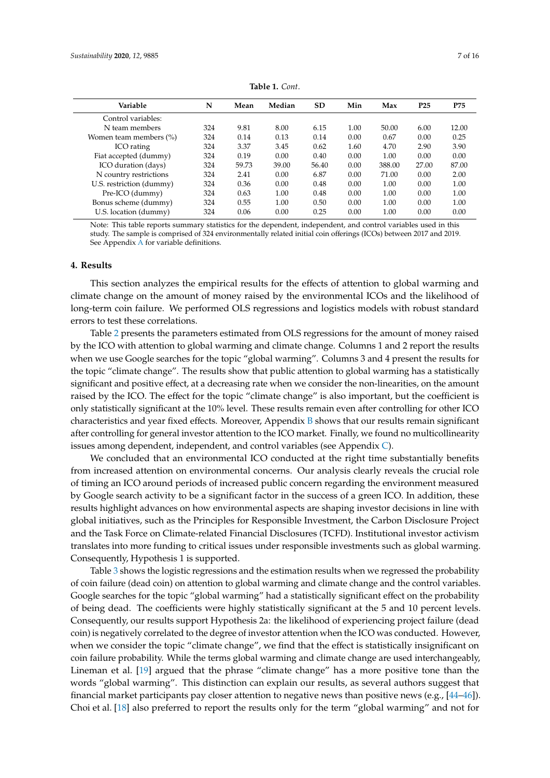| N   | Mean  | Median | SD    | Min  | Max    | P <sub>25</sub> | P75   |
|-----|-------|--------|-------|------|--------|-----------------|-------|
|     |       |        |       |      |        |                 |       |
| 324 | 9.81  | 8.00   | 6.15  | 1.00 | 50.00  | 6.00            | 12.00 |
| 324 | 0.14  | 0.13   | 0.14  | 0.00 | 0.67   | 0.00            | 0.25  |
| 324 | 3.37  | 3.45   | 0.62  | 1.60 | 4.70   | 2.90            | 3.90  |
| 324 | 0.19  | 0.00   | 0.40  | 0.00 | 1.00   | 0.00            | 0.00  |
| 324 | 59.73 | 39.00  | 56.40 | 0.00 | 388.00 | 27.00           | 87.00 |
| 324 | 2.41  | 0.00   | 6.87  | 0.00 | 71.00  | 0.00            | 2.00  |
| 324 | 0.36  | 0.00   | 0.48  | 0.00 | 1.00   | 0.00            | 1.00  |
| 324 | 0.63  | 1.00   | 0.48  | 0.00 | 1.00   | 0.00            | 1.00  |
| 324 | 0.55  | 1.00   | 0.50  | 0.00 | 1.00   | 0.00            | 1.00  |
| 324 | 0.06  | 0.00   | 0.25  | 0.00 | 1.00   | 0.00            | 0.00  |
|     |       |        |       |      |        |                 |       |

**Table 1.** *Cont*.

Note: This table reports summary statistics for the dependent, independent, and control variables used in this study. The sample is comprised of 324 environmentally related initial coin offerings (ICOs) between 2017 and 2019. See Appendix [A](#page-10-0) for variable definitions.

#### **4. Results**

This section analyzes the empirical results for the effects of attention to global warming and climate change on the amount of money raised by the environmental ICOs and the likelihood of long-term coin failure. We performed OLS regressions and logistics models with robust standard errors to test these correlations.

Table [2](#page-7-0) presents the parameters estimated from OLS regressions for the amount of money raised by the ICO with attention to global warming and climate change. Columns 1 and 2 report the results when we use Google searches for the topic "global warming". Columns 3 and 4 present the results for the topic "climate change". The results show that public attention to global warming has a statistically significant and positive effect, at a decreasing rate when we consider the non-linearities, on the amount raised by the ICO. The effect for the topic "climate change" is also important, but the coefficient is only statistically significant at the 10% level. These results remain even after controlling for other ICO characteristics and year fixed effects. Moreover, Appendix [B](#page-11-0) shows that our results remain significant after controlling for general investor attention to the ICO market. Finally, we found no multicollinearity issues among dependent, independent, and control variables (see Appendix [C\)](#page-12-0).

We concluded that an environmental ICO conducted at the right time substantially benefits from increased attention on environmental concerns. Our analysis clearly reveals the crucial role of timing an ICO around periods of increased public concern regarding the environment measured by Google search activity to be a significant factor in the success of a green ICO. In addition, these results highlight advances on how environmental aspects are shaping investor decisions in line with global initiatives, such as the Principles for Responsible Investment, the Carbon Disclosure Project and the Task Force on Climate-related Financial Disclosures (TCFD). Institutional investor activism translates into more funding to critical issues under responsible investments such as global warming. Consequently, Hypothesis 1 is supported.

Table [3](#page-7-1) shows the logistic regressions and the estimation results when we regressed the probability of coin failure (dead coin) on attention to global warming and climate change and the control variables. Google searches for the topic "global warming" had a statistically significant effect on the probability of being dead. The coefficients were highly statistically significant at the 5 and 10 percent levels. Consequently, our results support Hypothesis 2a: the likelihood of experiencing project failure (dead coin) is negatively correlated to the degree of investor attention when the ICO was conducted. However, when we consider the topic "climate change", we find that the effect is statistically insignificant on coin failure probability. While the terms global warming and climate change are used interchangeably, Lineman et al. [\[19\]](#page-14-4) argued that the phrase "climate change" has a more positive tone than the words "global warming". This distinction can explain our results, as several authors suggest that financial market participants pay closer attention to negative news than positive news (e.g., [\[44](#page-15-0)[–46\]](#page-15-1)). Choi et al. [\[18\]](#page-14-3) also preferred to report the results only for the term "global warming" and not for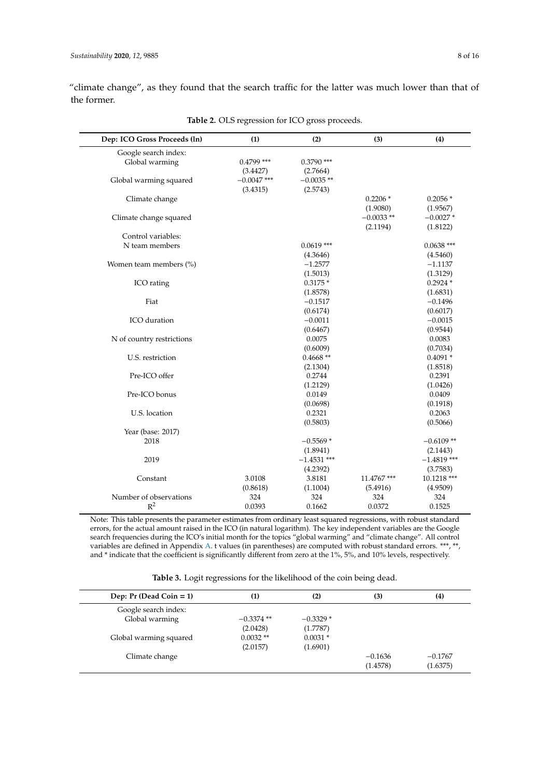"climate change", as they found that the search traffic for the latter was much lower than that of the former.

<span id="page-7-0"></span>

| Dep: ICO Gross Proceeds (ln) | (1)           | (2)           | (3)         | (4)           |
|------------------------------|---------------|---------------|-------------|---------------|
| Google search index:         |               |               |             |               |
| Global warming               | $0.4799$ ***  | $0.3790$ ***  |             |               |
|                              | (3.4427)      | (2.7664)      |             |               |
| Global warming squared       | $-0.0047$ *** | $-0.0035$ **  |             |               |
|                              | (3.4315)      | (2.5743)      |             |               |
| Climate change               |               |               | $0.2206*$   | $0.2056*$     |
|                              |               |               | (1.9080)    | (1.9567)      |
| Climate change squared       |               |               | $-0.0033**$ | $-0.0027*$    |
|                              |               |               | (2.1194)    | (1.8122)      |
| Control variables:           |               |               |             |               |
| N team members               |               | $0.0619$ ***  |             | $0.0638$ ***  |
|                              |               | (4.3646)      |             | (4.5460)      |
| Women team members (%)       |               | $-1.2577$     |             | $-1.1137$     |
|                              |               | (1.5013)      |             | (1.3129)      |
| ICO rating                   |               | $0.3175*$     |             | $0.2924*$     |
|                              |               | (1.8578)      |             | (1.6831)      |
| Fiat                         |               | $-0.1517$     |             | $-0.1496$     |
|                              |               | (0.6174)      |             | (0.6017)      |
| ICO duration                 |               | $-0.0011$     |             | $-0.0015$     |
|                              |               | (0.6467)      |             | (0.9544)      |
| N of country restrictions    |               | 0.0075        |             | 0.0083        |
|                              |               | (0.6009)      |             | (0.7034)      |
| U.S. restriction             |               | $0.4668**$    |             | $0.4091*$     |
|                              |               | (2.1304)      |             | (1.8518)      |
| Pre-ICO offer                |               | 0.2744        |             | 0.2391        |
|                              |               | (1.2129)      |             | (1.0426)      |
| Pre-ICO bonus                |               | 0.0149        |             | 0.0409        |
|                              |               | (0.0698)      |             | (0.1918)      |
| U.S. location                |               | 0.2321        |             | 0.2063        |
|                              |               | (0.5803)      |             | (0.5066)      |
| Year (base: 2017)            |               |               |             |               |
| 2018                         |               | $-0.5569*$    |             | $-0.6109**$   |
|                              |               | (1.8941)      |             | (2.1443)      |
| 2019                         |               | $-1.4531$ *** |             | $-1.4819$ *** |
|                              |               | (4.2392)      |             | (3.7583)      |
| Constant                     | 3.0108        | 3.8181        | 11.4767***  | 10.1218 ***   |
|                              | (0.8618)      | (1.1004)      | (5.4916)    | (4.9509)      |
|                              |               |               |             |               |
| Number of observations       | 324           | 324           | 324         | 324           |

**Table 2.** OLS regression for ICO gross proceeds.

Note: This table presents the parameter estimates from ordinary least squared regressions, with robust standard errors, for the actual amount raised in the ICO (in natural logarithm). The key independent variables are the Google search frequencies during the ICO's initial month for the topics "global warming" and "climate change". All control variables are defined in Appendix [A.](#page-10-0) t values (in parentheses) are computed with robust standard errors. \*\*\*, \*\*, and \* indicate that the coefficient is significantly different from zero at the 1%, 5%, and 10% levels, respectively.

**Table 3.** Logit regressions for the likelihood of the coin being dead.

<span id="page-7-1"></span>

| Dep: $Pr$ (Dead Coin = 1) | (1)          | (2)        | (3)       | (4)       |
|---------------------------|--------------|------------|-----------|-----------|
| Google search index:      |              |            |           |           |
| Global warming            | $-0.3374$ ** | $-0.3329*$ |           |           |
|                           | (2.0428)     | (1.7787)   |           |           |
| Global warming squared    | $0.0032**$   | $0.0031*$  |           |           |
|                           | (2.0157)     | (1.6901)   |           |           |
| Climate change            |              |            | $-0.1636$ | $-0.1767$ |
|                           |              |            | (1.4578)  | (1.6375)  |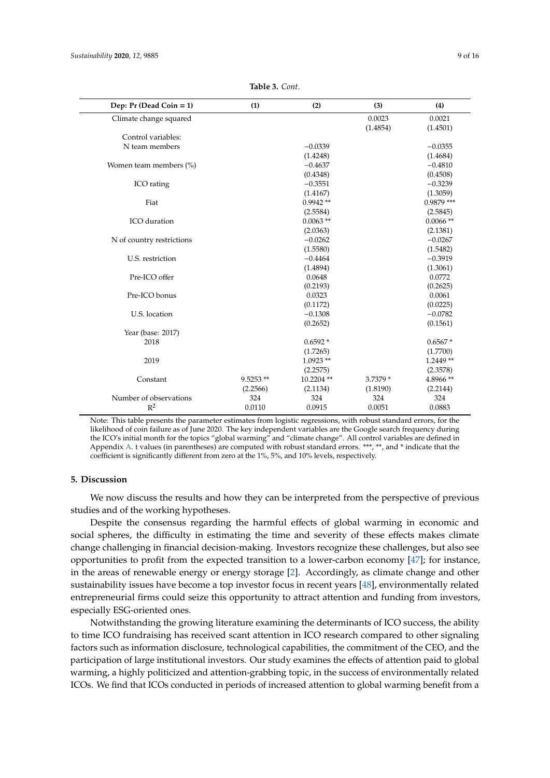| Dep: $Pr$ (Dead Coin = 1) | (1)        | (2)         | (3)      | (4)          |
|---------------------------|------------|-------------|----------|--------------|
| Climate change squared    |            |             | 0.0023   | 0.0021       |
|                           |            |             | (1.4854) | (1.4501)     |
| Control variables:        |            |             |          |              |
| N team members            |            | $-0.0339$   |          | $-0.0355$    |
|                           |            | (1.4248)    |          | (1.4684)     |
| Women team members (%)    |            | $-0.4637$   |          | $-0.4810$    |
|                           |            | (0.4348)    |          | (0.4508)     |
| ICO rating                |            | $-0.3551$   |          | $-0.3239$    |
|                           |            | (1.4167)    |          | (1.3059)     |
| Fiat                      |            | $0.9942**$  |          | $0.9879$ *** |
|                           |            | (2.5584)    |          | (2.5845)     |
| ICO duration              |            | $0.0063$ ** |          | $0.0066$ **  |
|                           |            | (2.0363)    |          | (2.1381)     |
| N of country restrictions |            | $-0.0262$   |          | $-0.0267$    |
|                           |            | (1.5580)    |          | (1.5482)     |
| U.S. restriction          |            | $-0.4464$   |          | $-0.3919$    |
|                           |            | (1.4894)    |          | (1.3061)     |
| Pre-ICO offer             |            | 0.0648      |          | 0.0772       |
|                           |            | (0.2193)    |          | (0.2625)     |
| Pre-ICO bonus             |            | 0.0323      |          | 0.0061       |
|                           |            | (0.1172)    |          | (0.0225)     |
| U.S. location             |            | $-0.1308$   |          | $-0.0782$    |
|                           |            | (0.2652)    |          | (0.1561)     |
| Year (base: 2017)         |            |             |          |              |
| 2018                      |            | $0.6592*$   |          | $0.6567*$    |
|                           |            | (1.7265)    |          | (1.7700)     |
| 2019                      |            | $1.0923**$  |          | $1.2449**$   |
|                           |            | (2.2575)    |          | (2.3578)     |
| Constant                  | $9.5253**$ | 10.2204 **  | 3.7379 * | 4.8966**     |
|                           | (2.2566)   | (2.1134)    | (1.8190) | (2.2144)     |
| Number of observations    | 324        | 324         | 324      | 324          |
| $R^2$                     | 0.0110     | 0.0915      | 0.0051   | 0.0883       |

**Table 3.** *Cont*.

Note: This table presents the parameter estimates from logistic regressions, with robust standard errors, for the likelihood of coin failure as of June 2020. The key independent variables are the Google search frequency during the ICO's initial month for the topics "global warming" and "climate change". All control variables are defined in Appendix [A.](#page-10-0) t values (in parentheses) are computed with robust standard errors. \*\*\*, \*\*, and \* indicate that the coefficient is significantly different from zero at the 1%, 5%, and 10% levels, respectively.

## **5. Discussion**

We now discuss the results and how they can be interpreted from the perspective of previous studies and of the working hypotheses.

Despite the consensus regarding the harmful effects of global warming in economic and social spheres, the difficulty in estimating the time and severity of these effects makes climate change challenging in financial decision-making. Investors recognize these challenges, but also see opportunities to profit from the expected transition to a lower-carbon economy [\[47\]](#page-15-2); for instance, in the areas of renewable energy or energy storage [\[2\]](#page-13-1). Accordingly, as climate change and other sustainability issues have become a top investor focus in recent years [\[48\]](#page-15-3), environmentally related entrepreneurial firms could seize this opportunity to attract attention and funding from investors, especially ESG-oriented ones.

Notwithstanding the growing literature examining the determinants of ICO success, the ability to time ICO fundraising has received scant attention in ICO research compared to other signaling factors such as information disclosure, technological capabilities, the commitment of the CEO, and the participation of large institutional investors. Our study examines the effects of attention paid to global warming, a highly politicized and attention-grabbing topic, in the success of environmentally related ICOs. We find that ICOs conducted in periods of increased attention to global warming benefit from a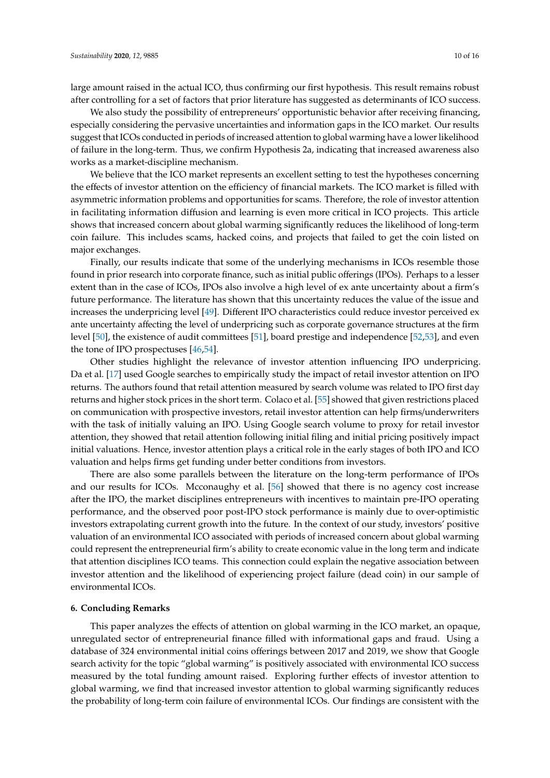large amount raised in the actual ICO, thus confirming our first hypothesis. This result remains robust after controlling for a set of factors that prior literature has suggested as determinants of ICO success.

We also study the possibility of entrepreneurs' opportunistic behavior after receiving financing, especially considering the pervasive uncertainties and information gaps in the ICO market. Our results suggest that ICOs conducted in periods of increased attention to global warming have a lower likelihood of failure in the long-term. Thus, we confirm Hypothesis 2a, indicating that increased awareness also works as a market-discipline mechanism.

We believe that the ICO market represents an excellent setting to test the hypotheses concerning the effects of investor attention on the efficiency of financial markets. The ICO market is filled with asymmetric information problems and opportunities for scams. Therefore, the role of investor attention in facilitating information diffusion and learning is even more critical in ICO projects. This article shows that increased concern about global warming significantly reduces the likelihood of long-term coin failure. This includes scams, hacked coins, and projects that failed to get the coin listed on major exchanges.

Finally, our results indicate that some of the underlying mechanisms in ICOs resemble those found in prior research into corporate finance, such as initial public offerings (IPOs). Perhaps to a lesser extent than in the case of ICOs, IPOs also involve a high level of ex ante uncertainty about a firm's future performance. The literature has shown that this uncertainty reduces the value of the issue and increases the underpricing level [\[49\]](#page-15-4). Different IPO characteristics could reduce investor perceived ex ante uncertainty affecting the level of underpricing such as corporate governance structures at the firm level [\[50\]](#page-15-5), the existence of audit committees [\[51\]](#page-15-6), board prestige and independence [\[52](#page-15-7)[,53\]](#page-15-8), and even the tone of IPO prospectuses [\[46](#page-15-1)[,54\]](#page-15-9).

Other studies highlight the relevance of investor attention influencing IPO underpricing. Da et al. [\[17\]](#page-14-2) used Google searches to empirically study the impact of retail investor attention on IPO returns. The authors found that retail attention measured by search volume was related to IPO first day returns and higher stock prices in the short term. Colaco et al. [\[55\]](#page-15-10) showed that given restrictions placed on communication with prospective investors, retail investor attention can help firms/underwriters with the task of initially valuing an IPO. Using Google search volume to proxy for retail investor attention, they showed that retail attention following initial filing and initial pricing positively impact initial valuations. Hence, investor attention plays a critical role in the early stages of both IPO and ICO valuation and helps firms get funding under better conditions from investors.

There are also some parallels between the literature on the long-term performance of IPOs and our results for ICOs. Mcconaughy et al. [\[56\]](#page-15-11) showed that there is no agency cost increase after the IPO, the market disciplines entrepreneurs with incentives to maintain pre-IPO operating performance, and the observed poor post-IPO stock performance is mainly due to over-optimistic investors extrapolating current growth into the future. In the context of our study, investors' positive valuation of an environmental ICO associated with periods of increased concern about global warming could represent the entrepreneurial firm's ability to create economic value in the long term and indicate that attention disciplines ICO teams. This connection could explain the negative association between investor attention and the likelihood of experiencing project failure (dead coin) in our sample of environmental ICOs.

#### **6. Concluding Remarks**

This paper analyzes the effects of attention on global warming in the ICO market, an opaque, unregulated sector of entrepreneurial finance filled with informational gaps and fraud. Using a database of 324 environmental initial coins offerings between 2017 and 2019, we show that Google search activity for the topic "global warming" is positively associated with environmental ICO success measured by the total funding amount raised. Exploring further effects of investor attention to global warming, we find that increased investor attention to global warming significantly reduces the probability of long-term coin failure of environmental ICOs. Our findings are consistent with the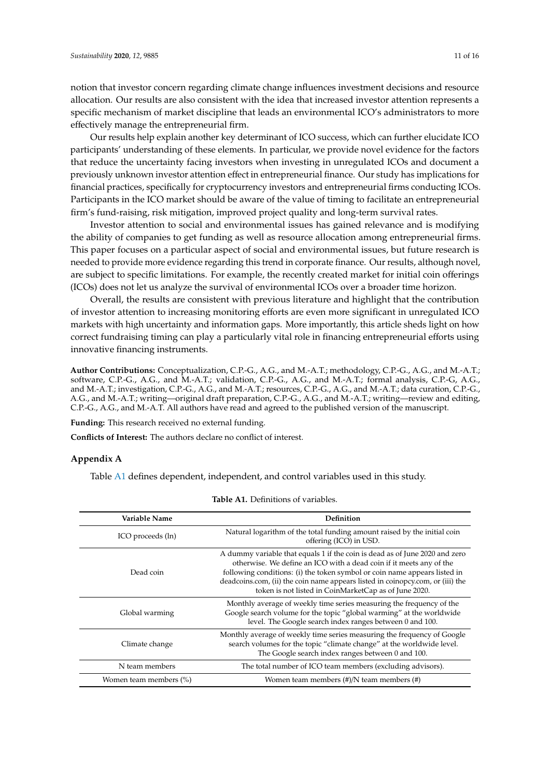notion that investor concern regarding climate change influences investment decisions and resource allocation. Our results are also consistent with the idea that increased investor attention represents a specific mechanism of market discipline that leads an environmental ICO's administrators to more effectively manage the entrepreneurial firm.

Our results help explain another key determinant of ICO success, which can further elucidate ICO participants' understanding of these elements. In particular, we provide novel evidence for the factors that reduce the uncertainty facing investors when investing in unregulated ICOs and document a previously unknown investor attention effect in entrepreneurial finance. Our study has implications for financial practices, specifically for cryptocurrency investors and entrepreneurial firms conducting ICOs. Participants in the ICO market should be aware of the value of timing to facilitate an entrepreneurial firm's fund-raising, risk mitigation, improved project quality and long-term survival rates.

Investor attention to social and environmental issues has gained relevance and is modifying the ability of companies to get funding as well as resource allocation among entrepreneurial firms. This paper focuses on a particular aspect of social and environmental issues, but future research is needed to provide more evidence regarding this trend in corporate finance. Our results, although novel, are subject to specific limitations. For example, the recently created market for initial coin offerings (ICOs) does not let us analyze the survival of environmental ICOs over a broader time horizon.

Overall, the results are consistent with previous literature and highlight that the contribution of investor attention to increasing monitoring efforts are even more significant in unregulated ICO markets with high uncertainty and information gaps. More importantly, this article sheds light on how correct fundraising timing can play a particularly vital role in financing entrepreneurial efforts using innovative financing instruments.

**Author Contributions:** Conceptualization, C.P.-G., A.G., and M.-A.T.; methodology, C.P.-G., A.G., and M.-A.T.; software, C.P.-G., A.G., and M.-A.T.; validation, C.P.-G., A.G., and M.-A.T.; formal analysis, C.P.-G, A.G., and M.-A.T.; investigation, C.P.-G., A.G., and M.-A.T.; resources, C.P.-G., A.G., and M.-A.T.; data curation, C.P.-G., A.G., and M.-A.T.; writing—original draft preparation, C.P.-G., A.G., and M.-A.T.; writing—review and editing, C.P.-G., A.G., and M.-A.T. All authors have read and agreed to the published version of the manuscript.

**Funding:** This research received no external funding.

**Conflicts of Interest:** The authors declare no conflict of interest.

### <span id="page-10-0"></span>**Appendix A**

Table [A1](#page-10-1) defines dependent, independent, and control variables used in this study.

<span id="page-10-1"></span>

| Variable Name          | Definition                                                                                                                                                                                                                                                                                                                                                                 |
|------------------------|----------------------------------------------------------------------------------------------------------------------------------------------------------------------------------------------------------------------------------------------------------------------------------------------------------------------------------------------------------------------------|
| ICO proceeds (ln)      | Natural logarithm of the total funding amount raised by the initial coin<br>offering (ICO) in USD.                                                                                                                                                                                                                                                                         |
| Dead coin              | A dummy variable that equals 1 if the coin is dead as of June 2020 and zero<br>otherwise. We define an ICO with a dead coin if it meets any of the<br>following conditions: (i) the token symbol or coin name appears listed in<br>deadcoins.com, (ii) the coin name appears listed in coinopcy.com, or (iii) the<br>token is not listed in CoinMarketCap as of June 2020. |
| Global warming         | Monthly average of weekly time series measuring the frequency of the<br>Google search volume for the topic "global warming" at the worldwide<br>level. The Google search index ranges between 0 and 100.                                                                                                                                                                   |
| Climate change         | Monthly average of weekly time series measuring the frequency of Google<br>search volumes for the topic "climate change" at the worldwide level.<br>The Google search index ranges between 0 and 100.                                                                                                                                                                      |
| N team members         | The total number of ICO team members (excluding advisors).                                                                                                                                                                                                                                                                                                                 |
| Women team members (%) | Women team members $(\#)/N$ team members $(\#)$                                                                                                                                                                                                                                                                                                                            |

#### **Table A1.** Definitions of variables.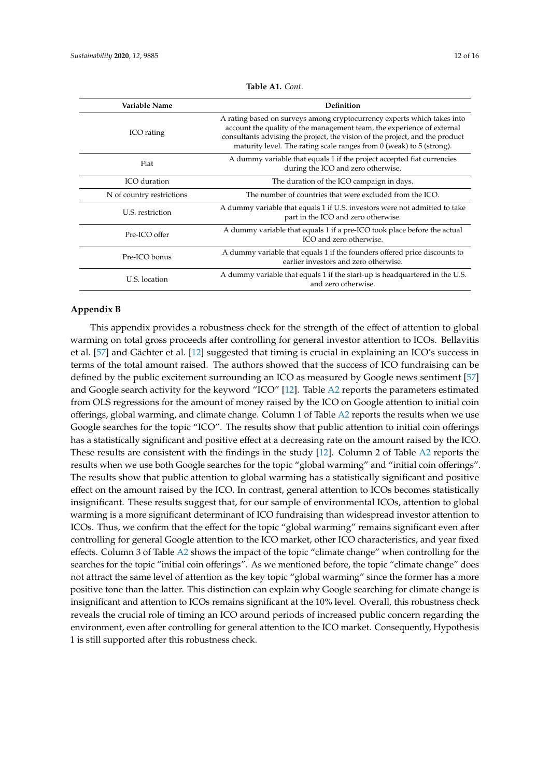| Variable Name             | Definition                                                                                                                                                                                                                                                                                                    |
|---------------------------|---------------------------------------------------------------------------------------------------------------------------------------------------------------------------------------------------------------------------------------------------------------------------------------------------------------|
| ICO rating                | A rating based on surveys among cryptocurrency experts which takes into<br>account the quality of the management team, the experience of external<br>consultants advising the project, the vision of the project, and the product<br>maturity level. The rating scale ranges from $0$ (weak) to $5$ (strong). |
| Fiat                      | A dummy variable that equals 1 if the project accepted fiat currencies<br>during the ICO and zero otherwise.                                                                                                                                                                                                  |
| ICO duration              | The duration of the ICO campaign in days.                                                                                                                                                                                                                                                                     |
| N of country restrictions | The number of countries that were excluded from the ICO.                                                                                                                                                                                                                                                      |
| U.S. restriction          | A dummy variable that equals 1 if U.S. investors were not admitted to take<br>part in the ICO and zero otherwise.                                                                                                                                                                                             |
| Pre-ICO offer             | A dummy variable that equals 1 if a pre-ICO took place before the actual<br>ICO and zero otherwise.                                                                                                                                                                                                           |
| Pre-ICO bonus             | A dummy variable that equals 1 if the founders offered price discounts to<br>earlier investors and zero otherwise.                                                                                                                                                                                            |
| U.S. location             | A dummy variable that equals 1 if the start-up is headquartered in the U.S.<br>and zero otherwise.                                                                                                                                                                                                            |

**Table A1.** *Cont*.

## <span id="page-11-0"></span>**Appendix B**

This appendix provides a robustness check for the strength of the effect of attention to global warming on total gross proceeds after controlling for general investor attention to ICOs. Bellavitis et al. [\[57\]](#page-15-12) and Gächter et al. [\[12\]](#page-13-5) suggested that timing is crucial in explaining an ICO's success in terms of the total amount raised. The authors showed that the success of ICO fundraising can be defined by the public excitement surrounding an ICO as measured by Google news sentiment [\[57\]](#page-15-12) and Google search activity for the keyword "ICO" [\[12\]](#page-13-5). Table [A2](#page-12-1) reports the parameters estimated from OLS regressions for the amount of money raised by the ICO on Google attention to initial coin offerings, global warming, and climate change. Column 1 of Table [A2](#page-12-1) reports the results when we use Google searches for the topic "ICO". The results show that public attention to initial coin offerings has a statistically significant and positive effect at a decreasing rate on the amount raised by the ICO. These results are consistent with the findings in the study [\[12\]](#page-13-5). Column 2 of Table [A2](#page-12-1) reports the results when we use both Google searches for the topic "global warming" and "initial coin offerings". The results show that public attention to global warming has a statistically significant and positive effect on the amount raised by the ICO. In contrast, general attention to ICOs becomes statistically insignificant. These results suggest that, for our sample of environmental ICOs, attention to global warming is a more significant determinant of ICO fundraising than widespread investor attention to ICOs. Thus, we confirm that the effect for the topic "global warming" remains significant even after controlling for general Google attention to the ICO market, other ICO characteristics, and year fixed effects. Column 3 of Table [A2](#page-12-1) shows the impact of the topic "climate change" when controlling for the searches for the topic "initial coin offerings". As we mentioned before, the topic "climate change" does not attract the same level of attention as the key topic "global warming" since the former has a more positive tone than the latter. This distinction can explain why Google searching for climate change is insignificant and attention to ICOs remains significant at the 10% level. Overall, this robustness check reveals the crucial role of timing an ICO around periods of increased public concern regarding the environment, even after controlling for general attention to the ICO market. Consequently, Hypothesis 1 is still supported after this robustness check.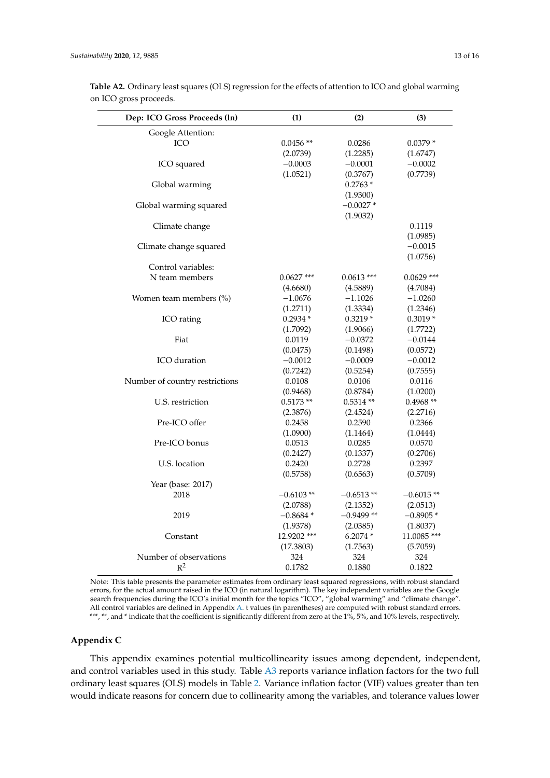| Dep: ICO Gross Proceeds (ln)   | (1)          | (2)          | (3)          |
|--------------------------------|--------------|--------------|--------------|
| Google Attention:              |              |              |              |
| ICO                            | $0.0456**$   | 0.0286       | $0.0379*$    |
|                                | (2.0739)     | (1.2285)     | (1.6747)     |
| ICO squared                    | $-0.0003$    | $-0.0001$    | $-0.0002$    |
|                                | (1.0521)     | (0.3767)     | (0.7739)     |
| Global warming                 |              | $0.2763*$    |              |
|                                |              | (1.9300)     |              |
| Global warming squared         |              | $-0.0027*$   |              |
|                                |              | (1.9032)     |              |
| Climate change                 |              |              | 0.1119       |
|                                |              |              | (1.0985)     |
| Climate change squared         |              |              | $-0.0015$    |
|                                |              |              | (1.0756)     |
| Control variables:             |              |              |              |
| N team members                 | $0.0627$ *** | $0.0613$ *** | $0.0629$ *** |
|                                | (4.6680)     | (4.5889)     | (4.7084)     |
| Women team members (%)         | $-1.0676$    | $-1.1026$    | $-1.0260$    |
|                                | (1.2711)     | (1.3334)     | (1.2346)     |
| ICO rating                     | $0.2934*$    | $0.3219*$    | $0.3019*$    |
|                                | (1.7092)     | (1.9066)     | (1.7722)     |
| Fiat                           | 0.0119       | $-0.0372$    | $-0.0144$    |
|                                | (0.0475)     | (0.1498)     | (0.0572)     |
| ICO duration                   | $-0.0012$    | $-0.0009$    | $-0.0012$    |
|                                | (0.7242)     | (0.5254)     | (0.7555)     |
| Number of country restrictions | 0.0108       | 0.0106       | 0.0116       |
|                                | (0.9468)     | (0.8784)     | (1.0200)     |
| U.S. restriction               | $0.5173**$   | $0.5314**$   | $0.4968**$   |
|                                | (2.3876)     | (2.4524)     | (2.2716)     |
| Pre-ICO offer                  | 0.2458       | 0.2590       | 0.2366       |
|                                | (1.0900)     | (1.1464)     | (1.0444)     |
| Pre-ICO bonus                  | 0.0513       | 0.0285       | 0.0570       |
|                                | (0.2427)     | (0.1337)     | (0.2706)     |
| U.S. location                  | 0.2420       | 0.2728       | 0.2397       |
|                                | (0.5758)     | (0.6563)     | (0.5709)     |
| Year (base: 2017)              |              |              |              |
| 2018                           | $-0.6103**$  | $-0.6513**$  | $-0.6015**$  |
|                                | (2.0788)     | (2.1352)     | (2.0513)     |
| 2019                           | $-0.8684*$   | $-0.9499**$  | $-0.8905*$   |
|                                | (1.9378)     | (2.0385)     | (1.8037)     |
| Constant                       | 12.9202 ***  | $6.2074*$    | 11.0085 ***  |
|                                | (17.3803)    | (1.7563)     | (5.7059)     |
| Number of observations         | 324          | 324          | 324          |
| $R^2$                          | 0.1782       | 0.1880       | 0.1822       |

<span id="page-12-1"></span>**Table A2.** Ordinary least squares (OLS) regression for the effects of attention to ICO and global warming on ICO gross proceeds.

Note: This table presents the parameter estimates from ordinary least squared regressions, with robust standard errors, for the actual amount raised in the ICO (in natural logarithm). The key independent variables are the Google search frequencies during the ICO's initial month for the topics "ICO", "global warming" and "climate change". All control variables are defined in Appendix [A.](#page-10-0) t values (in parentheses) are computed with robust standard errors. \*\*\*, \*\*, and \* indicate that the coefficient is significantly different from zero at the 1%, 5%, and 10% levels, respectively.

# <span id="page-12-0"></span>**Appendix C**

This appendix examines potential multicollinearity issues among dependent, independent, and control variables used in this study. Table [A3](#page-13-11) reports variance inflation factors for the two full ordinary least squares (OLS) models in Table [2.](#page-7-0) Variance inflation factor (VIF) values greater than ten would indicate reasons for concern due to collinearity among the variables, and tolerance values lower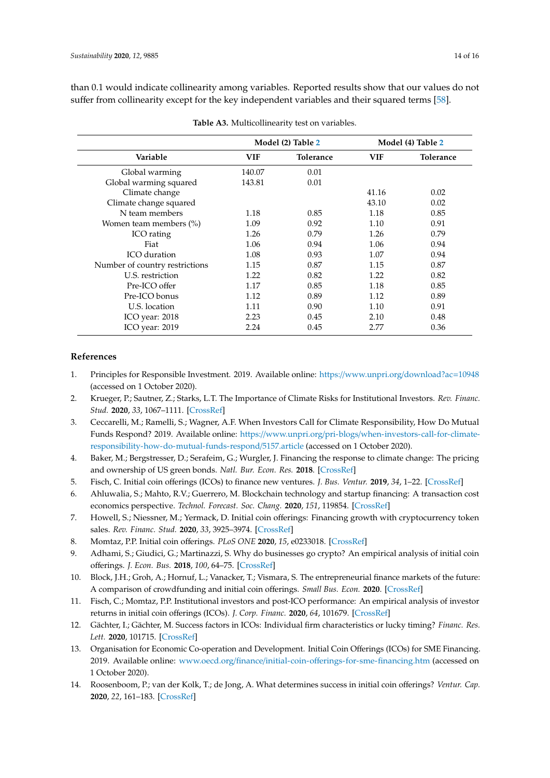than 0.1 would indicate collinearity among variables. Reported results show that our values do not suffer from collinearity except for the key independent variables and their squared terms [\[58\]](#page-15-13).

<span id="page-13-11"></span>

|                                |            | Model (2) Table 2 | Model (4) Table 2 |           |
|--------------------------------|------------|-------------------|-------------------|-----------|
| Variable                       | <b>VIF</b> | <b>Tolerance</b>  | <b>VIF</b>        | Tolerance |
| Global warming                 | 140.07     | 0.01              |                   |           |
| Global warming squared         | 143.81     | 0.01              |                   |           |
| Climate change                 |            |                   | 41.16             | 0.02      |
| Climate change squared         |            |                   | 43.10             | 0.02      |
| N team members                 | 1.18       | 0.85              | 1.18              | 0.85      |
| Women team members (%)         | 1.09       | 0.92              | 1.10              | 0.91      |
| ICO rating                     | 1.26       | 0.79              | 1.26              | 0.79      |
| Fiat                           | 1.06       | 0.94              | 1.06              | 0.94      |
| ICO duration                   | 1.08       | 0.93              | 1.07              | 0.94      |
| Number of country restrictions | 1.15       | 0.87              | 1.15              | 0.87      |
| U.S. restriction               | 1.22       | 0.82              | 1.22              | 0.82      |
| Pre-ICO offer                  | 1.17       | 0.85              | 1.18              | 0.85      |
| Pre-ICO bonus                  | 1.12       | 0.89              | 1.12              | 0.89      |
| U.S. location                  | 1.11       | 0.90              | 1.10              | 0.91      |
| ICO year: 2018                 | 2.23       | 0.45              | 2.10              | 0.48      |
| ICO year: 2019                 | 2.24       | 0.45              | 2.77              | 0.36      |

**Table A3.** Multicollinearity test on variables.

## **References**

- <span id="page-13-0"></span>1. Principles for Responsible Investment. 2019. Available online: https://[www.unpri.org](https://www.unpri.org/download?ac=10948)/download?ac=10948 (accessed on 1 October 2020).
- <span id="page-13-1"></span>2. Krueger, P.; Sautner, Z.; Starks, L.T. The Importance of Climate Risks for Institutional Investors. *Rev. Financ. Stud.* **2020**, *33*, 1067–1111. [\[CrossRef\]](http://dx.doi.org/10.1093/rfs/hhz137)
- <span id="page-13-2"></span>3. Ceccarelli, M.; Ramelli, S.; Wagner, A.F. When Investors Call for Climate Responsibility, How Do Mutual Funds Respond? 2019. Available online: https://www.unpri.org/pri-blogs/[when-investors-call-for-climate](https://www.unpri.org/pri-blogs/when-investors-call-for-climate-responsibility-how-do-mutual-funds-respond/5157.article)[responsibility-how-do-mutual-funds-respond](https://www.unpri.org/pri-blogs/when-investors-call-for-climate-responsibility-how-do-mutual-funds-respond/5157.article)/5157.article (accessed on 1 October 2020).
- <span id="page-13-3"></span>4. Baker, M.; Bergstresser, D.; Serafeim, G.; Wurgler, J. Financing the response to climate change: The pricing and ownership of US green bonds. *Natl. Bur. Econ. Res.* **2018**. [\[CrossRef\]](http://dx.doi.org/10.3386/w25194)
- <span id="page-13-4"></span>5. Fisch, C. Initial coin offerings (ICOs) to finance new ventures. *J. Bus. Ventur.* **2019**, *34*, 1–22. [\[CrossRef\]](http://dx.doi.org/10.1016/j.jbusvent.2018.09.007)
- 6. Ahluwalia, S.; Mahto, R.V.; Guerrero, M. Blockchain technology and startup financing: A transaction cost economics perspective. *Technol. Forecast. Soc. Chang.* **2020**, *151*, 119854. [\[CrossRef\]](http://dx.doi.org/10.1016/j.techfore.2019.119854)
- <span id="page-13-7"></span>7. Howell, S.; Niessner, M.; Yermack, D. Initial coin offerings: Financing growth with cryptocurrency token sales. *Rev. Financ. Stud.* **2020**, *33*, 3925–3974. [\[CrossRef\]](http://dx.doi.org/10.1093/rfs/hhz131)
- <span id="page-13-10"></span>8. Momtaz, P.P. Initial coin offerings. *PLoS ONE* **2020**, *15*, e0233018. [\[CrossRef\]](http://dx.doi.org/10.1371/journal.pone.0233018)
- 9. Adhami, S.; Giudici, G.; Martinazzi, S. Why do businesses go crypto? An empirical analysis of initial coin offerings. *J. Econ. Bus.* **2018**, *100*, 64–75. [\[CrossRef\]](http://dx.doi.org/10.1016/j.jeconbus.2018.04.001)
- 10. Block, J.H.; Groh, A.; Hornuf, L.; Vanacker, T.; Vismara, S. The entrepreneurial finance markets of the future: A comparison of crowdfunding and initial coin offerings. *Small Bus. Econ.* **2020**. [\[CrossRef\]](http://dx.doi.org/10.1007/s11187-020-00330-2)
- <span id="page-13-9"></span>11. Fisch, C.; Momtaz, P.P. Institutional investors and post-ICO performance: An empirical analysis of investor returns in initial coin offerings (ICOs). *J. Corp. Financ.* **2020**, *64*, 101679. [\[CrossRef\]](http://dx.doi.org/10.1016/j.jcorpfin.2020.101679)
- <span id="page-13-5"></span>12. Gächter, I.; Gächter, M. Success factors in ICOs: Individual firm characteristics or lucky timing? *Financ. Res. Lett.* **2020**, 101715. [\[CrossRef\]](http://dx.doi.org/10.1016/j.frl.2020.101715)
- <span id="page-13-6"></span>13. Organisation for Economic Co-operation and Development. Initial Coin Offerings (ICOs) for SME Financing. 2019. Available online: www.oecd.org/finance/initial-coin-off[erings-for-sme-financing.htm](www.oecd.org/finance/initial-coin-offerings-for-sme-financing.htm) (accessed on 1 October 2020).
- <span id="page-13-8"></span>14. Roosenboom, P.; van der Kolk, T.; de Jong, A. What determines success in initial coin offerings? *Ventur. Cap.* **2020**, *22*, 161–183. [\[CrossRef\]](http://dx.doi.org/10.1080/13691066.2020.1741127)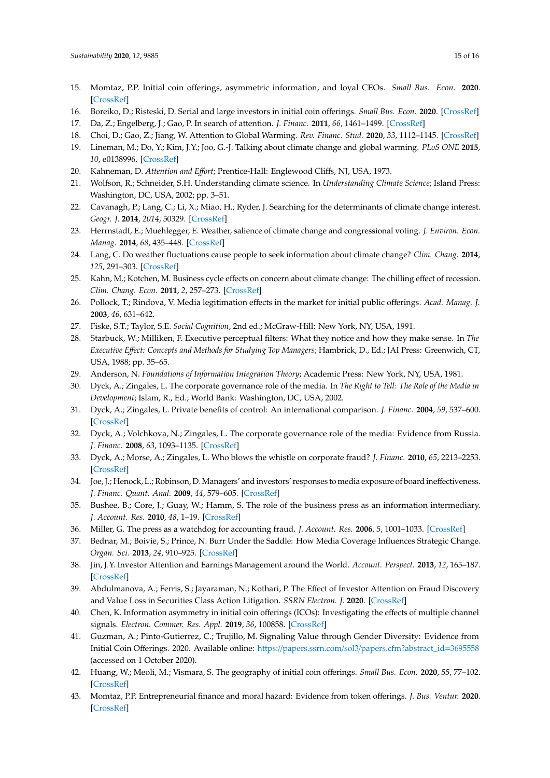- <span id="page-14-0"></span>15. Momtaz, P.P. Initial coin offerings, asymmetric information, and loyal CEOs. *Small Bus. Econ.* **2020**. [\[CrossRef\]](http://dx.doi.org/10.1007/s11187-020-00335-x)
- <span id="page-14-1"></span>16. Boreiko, D.; Risteski, D. Serial and large investors in initial coin offerings. *Small Bus. Econ.* **2020**. [\[CrossRef\]](http://dx.doi.org/10.1007/s11187-020-00338-8)
- <span id="page-14-2"></span>17. Da, Z.; Engelberg, J.; Gao, P. In search of attention. *J. Financ.* **2011**, *66*, 1461–1499. [\[CrossRef\]](http://dx.doi.org/10.1111/j.1540-6261.2011.01679.x)
- <span id="page-14-3"></span>18. Choi, D.; Gao, Z.; Jiang, W. Attention to Global Warming. *Rev. Financ. Stud.* **2020**, *33*, 1112–1145. [\[CrossRef\]](http://dx.doi.org/10.1093/rfs/hhz086)
- <span id="page-14-4"></span>19. Lineman, M.; Do, Y.; Kim, J.Y.; Joo, G.-J. Talking about climate change and global warming. *PLoS ONE* **2015**, *10*, e0138996. [\[CrossRef\]](http://dx.doi.org/10.1371/journal.pone.0138996)
- <span id="page-14-5"></span>20. Kahneman, D. *Attention and E*ff*ort*; Prentice-Hall: Englewood Cliffs, NJ, USA, 1973.
- <span id="page-14-6"></span>21. Wolfson, R.; Schneider, S.H. Understanding climate science. In *Understanding Climate Science*; Island Press: Washington, DC, USA, 2002; pp. 3–51.
- <span id="page-14-7"></span>22. Cavanagh, P.; Lang, C.; Li, X.; Miao, H.; Ryder, J. Searching for the determinants of climate change interest. *Geogr. J.* **2014**, *2014*, 50329. [\[CrossRef\]](http://dx.doi.org/10.1155/2014/503295)
- 23. Herrnstadt, E.; Muehlegger, E. Weather, salience of climate change and congressional voting. *J. Environ. Econ. Manag.* **2014**, *68*, 435–448. [\[CrossRef\]](http://dx.doi.org/10.1016/j.jeem.2014.08.002)
- 24. Lang, C. Do weather fluctuations cause people to seek information about climate change? *Clim. Chang.* **2014**, *125*, 291–303. [\[CrossRef\]](http://dx.doi.org/10.1007/s10584-014-1180-6)
- <span id="page-14-8"></span>25. Kahn, M.; Kotchen, M. Business cycle effects on concern about climate change: The chilling effect of recession. *Clim. Chang. Econ.* **2011**, *2*, 257–273. [\[CrossRef\]](http://dx.doi.org/10.1142/S2010007811000292)
- <span id="page-14-9"></span>26. Pollock, T.; Rindova, V. Media legitimation effects in the market for initial public offerings. *Acad. Manag. J.* **2003**, *46*, 631–642.
- <span id="page-14-10"></span>27. Fiske, S.T.; Taylor, S.E. *Social Cognition*, 2nd ed.; McGraw-Hill: New York, NY, USA, 1991.
- <span id="page-14-11"></span>28. Starbuck, W.; Milliken, F. Executive perceptual filters: What they notice and how they make sense. In *The Executive E*ff*ect: Concepts and Methods for Studying Top Managers*; Hambrick, D., Ed.; JAI Press: Greenwich, CT, USA, 1988; pp. 35–65.
- <span id="page-14-12"></span>29. Anderson, N. *Foundations of Information Integration Theory*; Academic Press: New York, NY, USA, 1981.
- <span id="page-14-13"></span>30. Dyck, A.; Zingales, L. The corporate governance role of the media. In *The Right to Tell: The Role of the Media in Development*; Islam, R., Ed.; World Bank: Washington, DC, USA, 2002.
- 31. Dyck, A.; Zingales, L. Private benefits of control: An international comparison. *J. Financ.* **2004**, *59*, 537–600. [\[CrossRef\]](http://dx.doi.org/10.1111/j.1540-6261.2004.00642.x)
- 32. Dyck, A.; Volchkova, N.; Zingales, L. The corporate governance role of the media: Evidence from Russia. *J. Financ.* **2008**, *63*, 1093–1135. [\[CrossRef\]](http://dx.doi.org/10.1111/j.1540-6261.2008.01353.x)
- 33. Dyck, A.; Morse, A.; Zingales, L. Who blows the whistle on corporate fraud? *J. Financ.* **2010**, *65*, 2213–2253. [\[CrossRef\]](http://dx.doi.org/10.1111/j.1540-6261.2010.01614.x)
- 34. Joe, J.; Henock, L.; Robinson, D. Managers' and investors' responses to media exposure of board ineffectiveness. *J. Financ. Quant. Anal.* **2009**, *44*, 579–605. [\[CrossRef\]](http://dx.doi.org/10.1017/S0022109009990044)
- 35. Bushee, B.; Core, J.; Guay, W.; Hamm, S. The role of the business press as an information intermediary. *J. Account. Res.* **2010**, *48*, 1–19. [\[CrossRef\]](http://dx.doi.org/10.1111/j.1475-679X.2009.00357.x)
- 36. Miller, G. The press as a watchdog for accounting fraud. *J. Account. Res.* **2006**, *5*, 1001–1033. [\[CrossRef\]](http://dx.doi.org/10.1111/j.1475-679X.2006.00224.x)
- <span id="page-14-14"></span>37. Bednar, M.; Boivie, S.; Prince, N. Burr Under the Saddle: How Media Coverage Influences Strategic Change. *Organ. Sci.* **2013**, *24*, 910–925. [\[CrossRef\]](http://dx.doi.org/10.1287/orsc.1120.0770)
- <span id="page-14-15"></span>38. Jin, J.Y. Investor Attention and Earnings Management around the World. *Account. Perspect.* **2013**, *12*, 165–187. [\[CrossRef\]](http://dx.doi.org/10.1111/1911-3838.12013)
- <span id="page-14-16"></span>39. Abdulmanova, A.; Ferris, S.; Jayaraman, N.; Kothari, P. The Effect of Investor Attention on Fraud Discovery and Value Loss in Securities Class Action Litigation. *SSRN Electron. J.* **2020**. [\[CrossRef\]](http://dx.doi.org/10.2139/ssrn.3028224)
- <span id="page-14-17"></span>40. Chen, K. Information asymmetry in initial coin offerings (ICOs): Investigating the effects of multiple channel signals. *Electron. Commer. Res. Appl.* **2019**, *36*, 100858. [\[CrossRef\]](http://dx.doi.org/10.1016/j.elerap.2019.100858)
- <span id="page-14-18"></span>41. Guzman, A.; Pinto-Gutierrez, C.; Trujillo, M. Signaling Value through Gender Diversity: Evidence from Initial Coin Offerings. 2020. Available online: https://papers.ssrn.com/sol3/[papers.cfm?abstract\\_id](https://papers.ssrn.com/sol3/papers.cfm?abstract_id=3695558)=3695558 (accessed on 1 October 2020).
- <span id="page-14-19"></span>42. Huang, W.; Meoli, M.; Vismara, S. The geography of initial coin offerings. *Small Bus. Econ.* **2020**, *55*, 77–102. [\[CrossRef\]](http://dx.doi.org/10.1007/s11187-019-00135-y)
- <span id="page-14-20"></span>43. Momtaz, P.P. Entrepreneurial finance and moral hazard: Evidence from token offerings. *J. Bus. Ventur.* **2020**. [\[CrossRef\]](http://dx.doi.org/10.1016/j.jbusvent.2020.106001)